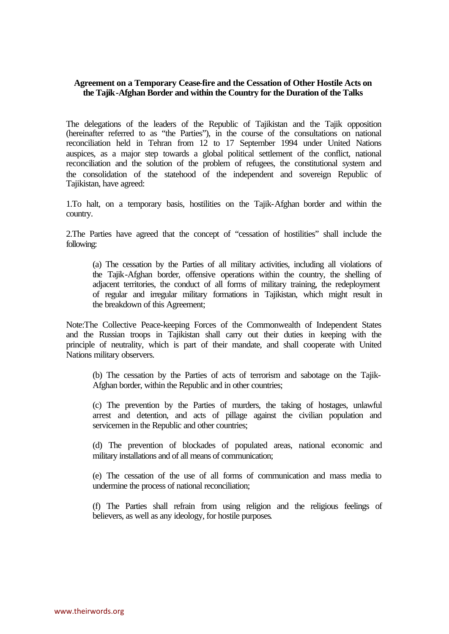## **Agreement on a Temporary Cease-fire and the Cessation of Other Hostile Acts on the Tajik-Afghan Border and within the Country for the Duration of the Talks**

The delegations of the leaders of the Republic of Tajikistan and the Tajik opposition (hereinafter referred to as "the Parties"), in the course of the consultations on national reconciliation held in Tehran from 12 to 17 September 1994 under United Nations auspices, as a major step towards a global political settlement of the conflict, national reconciliation and the solution of the problem of refugees, the constitutional system and the consolidation of the statehood of the independent and sovereign Republic of Tajikistan, have agreed:

1.To halt, on a temporary basis, hostilities on the Tajik-Afghan border and within the country.

2.The Parties have agreed that the concept of "cessation of hostilities" shall include the following:

(a) The cessation by the Parties of all military activities, including all violations of the Tajik-Afghan border, offensive operations within the country, the shelling of adjacent territories, the conduct of all forms of military training, the redeployment of regular and irregular military formations in Tajikistan, which might result in the breakdown of this Agreement;

Note:The Collective Peace-keeping Forces of the Commonwealth of Independent States and the Russian troops in Tajikistan shall carry out their duties in keeping with the principle of neutrality, which is part of their mandate, and shall cooperate with United Nations military observers.

(b) The cessation by the Parties of acts of terrorism and sabotage on the Tajik-Afghan border, within the Republic and in other countries;

(c) The prevention by the Parties of murders, the taking of hostages, unlawful arrest and detention, and acts of pillage against the civilian population and servicemen in the Republic and other countries;

(d) The prevention of blockades of populated areas, national economic and military installations and of all means of communication;

(e) The cessation of the use of all forms of communication and mass media to undermine the process of national reconciliation;

(f) The Parties shall refrain from using religion and the religious feelings of believers, as well as any ideology, for hostile purposes.